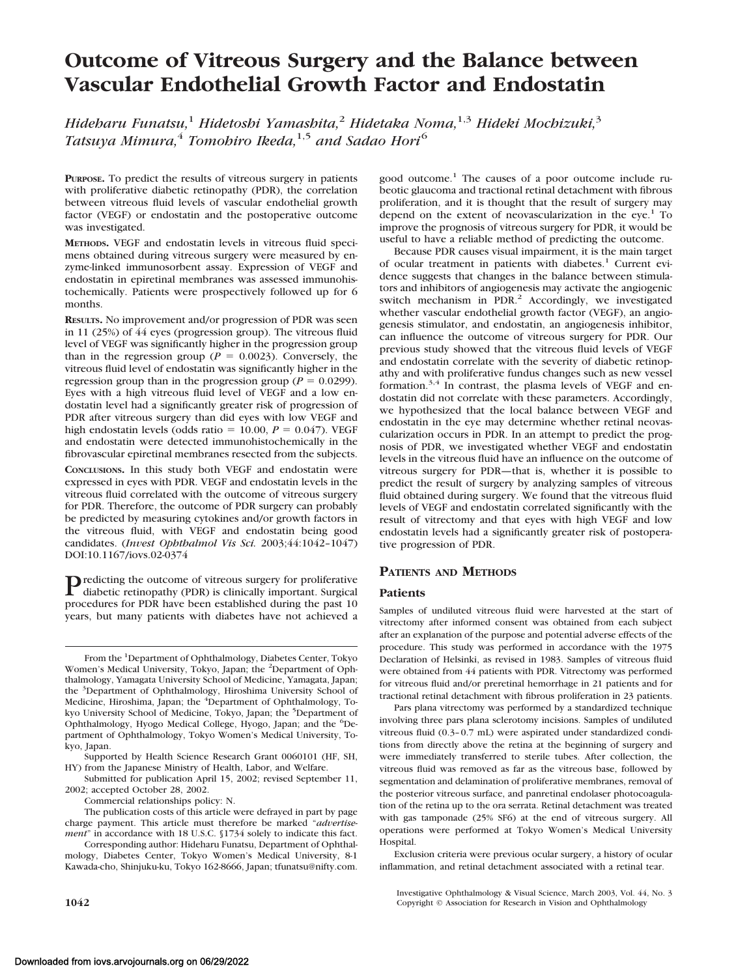# **Outcome of Vitreous Surgery and the Balance between Vascular Endothelial Growth Factor and Endostatin**

*Hideharu Funatsu,*<sup>1</sup> *Hidetoshi Yamashita,*<sup>2</sup> *Hidetaka Noma,*1,3 *Hideki Mochizuki,*<sup>3</sup> *Tatsuya Mimura,*<sup>4</sup> *Tomohiro Ikeda,*1,5 *and Sadao Hori*<sup>6</sup>

**PURPOSE.** To predict the results of vitreous surgery in patients with proliferative diabetic retinopathy (PDR), the correlation between vitreous fluid levels of vascular endothelial growth factor (VEGF) or endostatin and the postoperative outcome was investigated.

**METHODS.** VEGF and endostatin levels in vitreous fluid specimens obtained during vitreous surgery were measured by enzyme-linked immunosorbent assay. Expression of VEGF and endostatin in epiretinal membranes was assessed immunohistochemically. Patients were prospectively followed up for 6 months.

**RESULTS.** No improvement and/or progression of PDR was seen in 11 (25%) of 44 eyes (progression group). The vitreous fluid level of VEGF was significantly higher in the progression group than in the regression group ( $P = 0.0023$ ). Conversely, the vitreous fluid level of endostatin was significantly higher in the regression group than in the progression group ( $P = 0.0299$ ). Eyes with a high vitreous fluid level of VEGF and a low endostatin level had a significantly greater risk of progression of PDR after vitreous surgery than did eyes with low VEGF and high endostatin levels (odds ratio  $= 10.00$ ,  $P = 0.047$ ). VEGF and endostatin were detected immunohistochemically in the fibrovascular epiretinal membranes resected from the subjects.

**CONCLUSIONS.** In this study both VEGF and endostatin were expressed in eyes with PDR. VEGF and endostatin levels in the vitreous fluid correlated with the outcome of vitreous surgery for PDR. Therefore, the outcome of PDR surgery can probably be predicted by measuring cytokines and/or growth factors in the vitreous fluid, with VEGF and endostatin being good candidates. (*Invest Ophthalmol Vis Sci.* 2003;44:1042–1047) DOI:10.1167/iovs.02-0374

Predicting the outcome of vitreous surgery for proliferative<br>diabetic setiments of the conditions diabetic retinopathy (PDR) is clinically important. Surgical procedures for PDR have been established during the past 10 years, but many patients with diabetes have not achieved a

From the <sup>1</sup>Department of Ophthalmology, Diabetes Center, Tokyo Women's Medical University, Tokyo, Japan; the <sup>2</sup>Department of Ophthalmology, Yamagata University School of Medicine, Yamagata, Japan; the <sup>3</sup>Department of Ophthalmology, Hiroshima University School of Medicine, Hiroshima, Japan; the <sup>4</sup>Department of Ophthalmology, Tokyo University School of Medicine, Tokyo, Japan; the <sup>5</sup>Department of Ophthalmology, Hyogo Medical College, Hyogo, Japan; and the <sup>6</sup>Department of Ophthalmology, Tokyo Women's Medical University, Tokyo, Japan.

Submitted for publication April 15, 2002; revised September 11, 2002; accepted October 28, 2002.

Commercial relationships policy: N.

The publication costs of this article were defrayed in part by page charge payment. This article must therefore be marked "*advertisement*" in accordance with 18 U.S.C. §1734 solely to indicate this fact.

Corresponding author: Hideharu Funatsu, Department of Ophthalmology, Diabetes Center, Tokyo Women's Medical University, 8-1 Kawada-cho, Shinjuku-ku, Tokyo 162-8666, Japan; tfunatsu@nifty.com. good outcome.<sup>1</sup> The causes of a poor outcome include rubeotic glaucoma and tractional retinal detachment with fibrous proliferation, and it is thought that the result of surgery may depend on the extent of neovascularization in the eye.<sup>1</sup> To improve the prognosis of vitreous surgery for PDR, it would be useful to have a reliable method of predicting the outcome.

Because PDR causes visual impairment, it is the main target of ocular treatment in patients with diabetes.<sup>1</sup> Current evidence suggests that changes in the balance between stimulators and inhibitors of angiogenesis may activate the angiogenic switch mechanism in  $PDR<sup>2</sup>$  Accordingly, we investigated whether vascular endothelial growth factor (VEGF), an angiogenesis stimulator, and endostatin, an angiogenesis inhibitor, can influence the outcome of vitreous surgery for PDR. Our previous study showed that the vitreous fluid levels of VEGF and endostatin correlate with the severity of diabetic retinopathy and with proliferative fundus changes such as new vessel formation.<sup>3,4</sup> In contrast, the plasma levels of VEGF and endostatin did not correlate with these parameters. Accordingly, we hypothesized that the local balance between VEGF and endostatin in the eye may determine whether retinal neovascularization occurs in PDR. In an attempt to predict the prognosis of PDR, we investigated whether VEGF and endostatin levels in the vitreous fluid have an influence on the outcome of vitreous surgery for PDR—that is, whether it is possible to predict the result of surgery by analyzing samples of vitreous fluid obtained during surgery. We found that the vitreous fluid levels of VEGF and endostatin correlated significantly with the result of vitrectomy and that eyes with high VEGF and low endostatin levels had a significantly greater risk of postoperative progression of PDR.

# **PATIENTS AND METHODS**

## **Patients**

Samples of undiluted vitreous fluid were harvested at the start of vitrectomy after informed consent was obtained from each subject after an explanation of the purpose and potential adverse effects of the procedure. This study was performed in accordance with the 1975 Declaration of Helsinki, as revised in 1983. Samples of vitreous fluid were obtained from 44 patients with PDR. Vitrectomy was performed for vitreous fluid and/or preretinal hemorrhage in 21 patients and for tractional retinal detachment with fibrous proliferation in 23 patients.

Pars plana vitrectomy was performed by a standardized technique involving three pars plana sclerotomy incisions. Samples of undiluted vitreous fluid (0.3–0.7 mL) were aspirated under standardized conditions from directly above the retina at the beginning of surgery and were immediately transferred to sterile tubes. After collection, the vitreous fluid was removed as far as the vitreous base, followed by segmentation and delamination of proliferative membranes, removal of the posterior vitreous surface, and panretinal endolaser photocoagulation of the retina up to the ora serrata. Retinal detachment was treated with gas tamponade (25% SF6) at the end of vitreous surgery. All operations were performed at Tokyo Women's Medical University **Hospital** 

Exclusion criteria were previous ocular surgery, a history of ocular inflammation, and retinal detachment associated with a retinal tear.

Investigative Ophthalmology & Visual Science, March 2003, Vol. 44, No. 3 **1042** Copyright © Association for Research in Vision and Ophthalmology

Supported by Health Science Research Grant 0060101 (HF, SH, HY) from the Japanese Ministry of Health, Labor, and Welfare.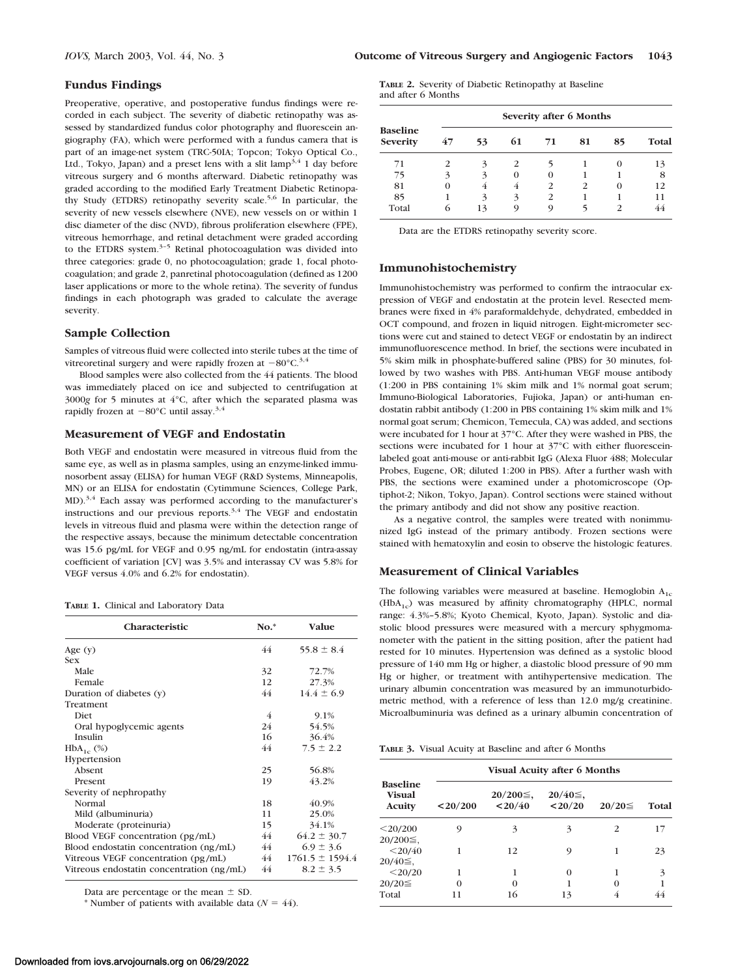### **Fundus Findings**

Preoperative, operative, and postoperative fundus findings were recorded in each subject. The severity of diabetic retinopathy was assessed by standardized fundus color photography and fluorescein angiography (FA), which were performed with a fundus camera that is part of an image-net system (TRC-50IA; Topcon; Tokyo Optical Co., Ltd., Tokyo, Japan) and a preset lens with a slit  $\text{lamp}^{3,4}$  1 day before vitreous surgery and 6 months afterward. Diabetic retinopathy was graded according to the modified Early Treatment Diabetic Retinopathy Study (ETDRS) retinopathy severity scale.<sup>5,6</sup> In particular, the severity of new vessels elsewhere (NVE), new vessels on or within 1 disc diameter of the disc (NVD), fibrous proliferation elsewhere (FPE), vitreous hemorrhage, and retinal detachment were graded according to the ETDRS system.<sup>3-5</sup> Retinal photocoagulation was divided into three categories: grade 0, no photocoagulation; grade 1, focal photocoagulation; and grade 2, panretinal photocoagulation (defined as 1200 laser applications or more to the whole retina). The severity of fundus findings in each photograph was graded to calculate the average severity.

#### **Sample Collection**

Samples of vitreous fluid were collected into sterile tubes at the time of vitreoretinal surgery and were rapidly frozen at  $-80^{\circ}$ C.<sup>3,4</sup>

Blood samples were also collected from the 44 patients. The blood was immediately placed on ice and subjected to centrifugation at 3000*g* for 5 minutes at 4°C, after which the separated plasma was rapidly frozen at  $-80^{\circ}$ C until assay.<sup>3,4</sup>

# **Measurement of VEGF and Endostatin**

Both VEGF and endostatin were measured in vitreous fluid from the same eye, as well as in plasma samples, using an enzyme-linked immunosorbent assay (ELISA) for human VEGF (R&D Systems, Minneapolis, MN) or an ELISA for endostatin (Cytimmune Sciences, College Park, MD).<sup>3,4</sup> Each assay was performed according to the manufacturer's instructions and our previous reports.<sup>3,4</sup> The VEGF and endostatin levels in vitreous fluid and plasma were within the detection range of the respective assays, because the minimum detectable concentration was 15.6 pg/mL for VEGF and 0.95 ng/mL for endostatin (intra-assay coefficient of variation [CV] was 3.5% and interassay CV was 5.8% for VEGF versus 4.0% and 6.2% for endostatin).

|  |  |  | TABLE 1. Clinical and Laboratory Data |  |
|--|--|--|---------------------------------------|--|
|--|--|--|---------------------------------------|--|

| Characteristic                            | $No.*$ | <b>Value</b>        |
|-------------------------------------------|--------|---------------------|
| Age $(y)$                                 | 44     | $55.8 \pm 8.4$      |
| <b>Sex</b>                                |        |                     |
| Male                                      | 32     | 72.7%               |
| Female                                    | 12     | 27.3%               |
| Duration of diabetes (y)                  | 44     | $14.4 \pm 6.9$      |
| Treatment                                 |        |                     |
| <b>Diet</b>                               | 4      | 9.1%                |
| Oral hypoglycemic agents                  | 24     | 54.5%               |
| Insulin                                   | 16     | 36.4%               |
| $HbA_{1c}$ (%)                            | 44     | $7.5 \pm 2.2$       |
| Hypertension                              |        |                     |
| Absent                                    | 25     | 56.8%               |
| Present                                   | 19     | 43.2%               |
| Severity of nephropathy                   |        |                     |
| Normal                                    | 18     | 40.9%               |
| Mild (albuminuria)                        | 11     | 25.0%               |
| Moderate (proteinuria)                    | 15     | 34.1%               |
| Blood VEGF concentration (pg/mL)          | 44     | $64.2 \pm 30.7$     |
| Blood endostatin concentration (ng/mL)    | 44     | $6.9 \pm 3.6$       |
| Vitreous VEGF concentration (pg/mL)       | 44     | $1761.5 \pm 1594.4$ |
| Vitreous endostatin concentration (ng/mL) | 44     | $8.2 \pm 3.5$       |

Data are percentage or the mean  $\pm$  SD.

\* Number of patients with available data  $(N = 44)$ .

|                    | <b>TABLE 2.</b> Severity of Diabetic Retinopathy at Baseline |  |
|--------------------|--------------------------------------------------------------|--|
| and after 6 Months |                                                              |  |

| <b>Baseline</b><br>Severity |          |    |          | Severity after 6 Months |                |          |       |
|-----------------------------|----------|----|----------|-------------------------|----------------|----------|-------|
|                             | 47       | 53 | 61       | 71                      | 81             | 85       | Total |
| 71                          | 2        | 3  | 2        |                         |                | $\Omega$ | 13    |
| 75                          | 3        | 3  | $\Omega$ | $\Omega$                |                |          | 8     |
| 81                          | $\Omega$ | 4  | 4        | $\mathcal{P}$           | $\overline{c}$ | $\Omega$ | 12    |
| 85                          |          | 3  | 3        | $\mathcal{P}$           |                |          | 11    |
| Total                       | 6        | 13 | Q        | 9                       |                |          |       |

Data are the ETDRS retinopathy severity score.

#### **Immunohistochemistry**

Immunohistochemistry was performed to confirm the intraocular expression of VEGF and endostatin at the protein level. Resected membranes were fixed in 4% paraformaldehyde, dehydrated, embedded in OCT compound, and frozen in liquid nitrogen. Eight-micrometer sections were cut and stained to detect VEGF or endostatin by an indirect immunofluorescence method. In brief, the sections were incubated in 5% skim milk in phosphate-buffered saline (PBS) for 30 minutes, followed by two washes with PBS. Anti-human VEGF mouse antibody (1:200 in PBS containing 1% skim milk and 1% normal goat serum; Immuno-Biological Laboratories, Fujioka, Japan) or anti-human endostatin rabbit antibody (1:200 in PBS containing 1% skim milk and 1% normal goat serum; Chemicon, Temecula, CA) was added, and sections were incubated for 1 hour at 37°C. After they were washed in PBS, the sections were incubated for 1 hour at 37°C with either fluoresceinlabeled goat anti-mouse or anti-rabbit IgG (Alexa Fluor 488; Molecular Probes, Eugene, OR; diluted 1:200 in PBS). After a further wash with PBS, the sections were examined under a photomicroscope (Optiphot-2; Nikon, Tokyo, Japan). Control sections were stained without the primary antibody and did not show any positive reaction.

As a negative control, the samples were treated with nonimmunized IgG instead of the primary antibody. Frozen sections were stained with hematoxylin and eosin to observe the histologic features.

## **Measurement of Clinical Variables**

The following variables were measured at baseline. Hemoglobin  $A_{1c}$  $(HbA<sub>1c</sub>)$  was measured by affinity chromatography (HPLC, normal range: 4.3%–5.8%; Kyoto Chemical, Kyoto, Japan). Systolic and diastolic blood pressures were measured with a mercury sphygmomanometer with the patient in the sitting position, after the patient had rested for 10 minutes. Hypertension was defined as a systolic blood pressure of 140 mm Hg or higher, a diastolic blood pressure of 90 mm Hg or higher, or treatment with antihypertensive medication. The urinary albumin concentration was measured by an immunoturbidometric method, with a reference of less than 12.0 mg/g creatinine. Microalbuminuria was defined as a urinary albumin concentration of

**TABLE 3.** Visual Acuity at Baseline and after 6 Months

|                                            | <b>Visual Acuity after 6 Months</b> |                            |                             |              |              |
|--------------------------------------------|-------------------------------------|----------------------------|-----------------------------|--------------|--------------|
| <b>Baseline</b><br>Visual<br><b>Acuity</b> | $<$ 20/200                          | $20/200 \leq$ ,<br>< 20/40 | $20/40 \leq$ ,<br>$<$ 20/20 | $20/20 \leq$ | <b>Total</b> |
| $<$ 20/200<br>$20/200 \leq$ ,              | 9                                   | 3                          | 3                           | 2            |              |
| $<$ 20/40<br>$20/40 \leq$ .                |                                     | 12                         | 9                           |              | 23           |
| $<$ 20/20                                  |                                     | 1                          | 0                           |              | 3            |
| $20/20 \leq$                               | $\Omega$                            | 0                          |                             | O            |              |
| Total                                      | 11                                  | 16                         | 13                          |              |              |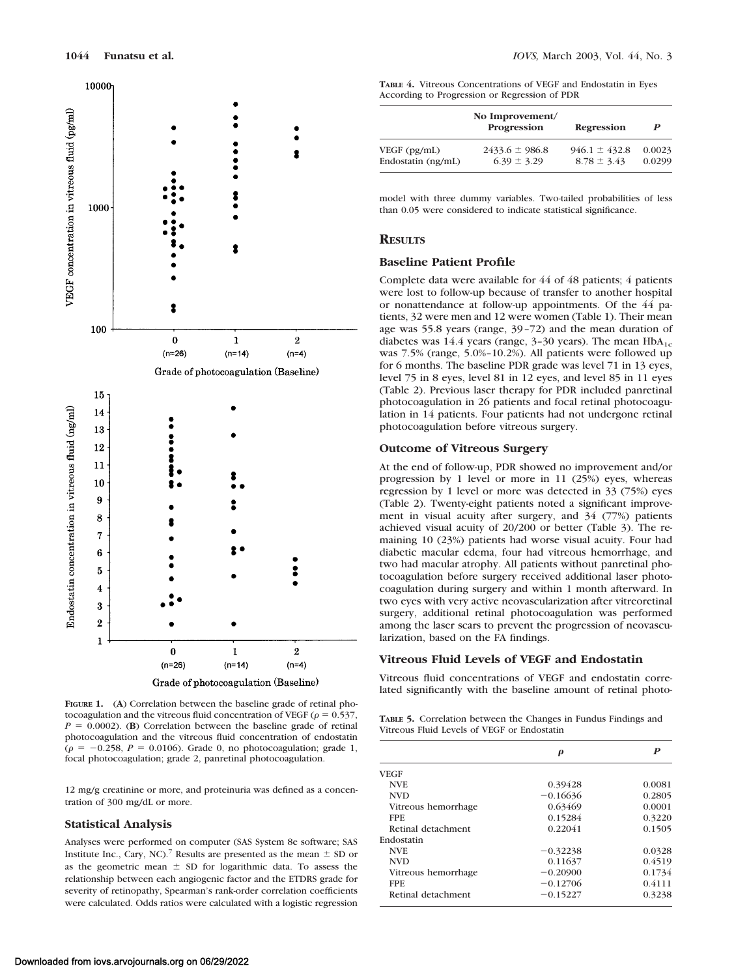

**FIGURE 1.** (**A**) Correlation between the baseline grade of retinal photocoagulation and the vitreous fluid concentration of VEGF ( $\rho = 0.537$ ,  $P = 0.0002$ . (**B**) Correlation between the baseline grade of retinal photocoagulation and the vitreous fluid concentration of endostatin  $(\rho = -0.258, P = 0.0106)$ . Grade 0, no photocoagulation; grade 1, focal photocoagulation; grade 2, panretinal photocoagulation.

12 mg/g creatinine or more, and proteinuria was defined as a concentration of 300 mg/dL or more.

## **Statistical Analysis**

Analyses were performed on computer (SAS System 8e software; SAS Institute Inc., Cary, NC).<sup>7</sup> Results are presented as the mean  $\pm$  SD or as the geometric mean  $\pm$  SD for logarithmic data. To assess the relationship between each angiogenic factor and the ETDRS grade for severity of retinopathy, Spearman's rank-order correlation coefficients were calculated. Odds ratios were calculated with a logistic regression

**TABLE 4.** Vitreous Concentrations of VEGF and Endostatin in Eyes According to Progression or Regression of PDR

|                    | No Improvement/<br>Progression | Regression        | P      |
|--------------------|--------------------------------|-------------------|--------|
| VEGF (pg/mL)       | $2433.6 \pm 986.8$             | $946.1 \pm 432.8$ | 0.0023 |
| Endostatin (ng/mL) | $6.39 \pm 3.29$                | $8.78 \pm 3.43$   | 0.0299 |

model with three dummy variables. Two-tailed probabilities of less than 0.05 were considered to indicate statistical significance.

## **RESULTS**

### **Baseline Patient Profile**

Complete data were available for 44 of 48 patients; 4 patients were lost to follow-up because of transfer to another hospital or nonattendance at follow-up appointments. Of the 44 patients, 32 were men and 12 were women (Table 1). Their mean age was 55.8 years (range, 39–72) and the mean duration of diabetes was 14.4 years (range,  $3-30$  years). The mean  $HbA_{1c}$ was 7.5% (range, 5.0%–10.2%). All patients were followed up for 6 months. The baseline PDR grade was level 71 in 13 eyes, level 75 in 8 eyes, level 81 in 12 eyes, and level 85 in 11 eyes (Table 2). Previous laser therapy for PDR included panretinal photocoagulation in 26 patients and focal retinal photocoagulation in 14 patients. Four patients had not undergone retinal photocoagulation before vitreous surgery.

#### **Outcome of Vitreous Surgery**

At the end of follow-up, PDR showed no improvement and/or progression by 1 level or more in 11 (25%) eyes, whereas regression by 1 level or more was detected in 33 (75%) eyes (Table 2). Twenty-eight patients noted a significant improvement in visual acuity after surgery, and 34 (77%) patients achieved visual acuity of 20/200 or better (Table 3). The remaining 10 (23%) patients had worse visual acuity. Four had diabetic macular edema, four had vitreous hemorrhage, and two had macular atrophy. All patients without panretinal photocoagulation before surgery received additional laser photocoagulation during surgery and within 1 month afterward. In two eyes with very active neovascularization after vitreoretinal surgery, additional retinal photocoagulation was performed among the laser scars to prevent the progression of neovascularization, based on the FA findings.

#### **Vitreous Fluid Levels of VEGF and Endostatin**

Vitreous fluid concentrations of VEGF and endostatin correlated significantly with the baseline amount of retinal photo-

**TABLE 5.** Correlation between the Changes in Fundus Findings and Vitreous Fluid Levels of VEGF or Endostatin

|                     | ρ          | P      |
|---------------------|------------|--------|
| <b>VEGF</b>         |            |        |
| <b>NVE</b>          | 0.39428    | 0.0081 |
| <b>NVD</b>          | $-0.16636$ | 0.2805 |
| Vitreous hemorrhage | 0.63469    | 0.0001 |
| <b>FPE</b>          | 0.15284    | 0.3220 |
| Retinal detachment  | 0.22041    | 0.1505 |
| Endostatin          |            |        |
| <b>NVE</b>          | $-0.32238$ | 0.0328 |
| <b>NVD</b>          | 0.11637    | 0.4519 |
| Vitreous hemorrhage | $-0.20900$ | 0.1734 |
| <b>FPE</b>          | $-0.12706$ | 0.4111 |
| Retinal detachment  | $-0.15227$ | 0.3238 |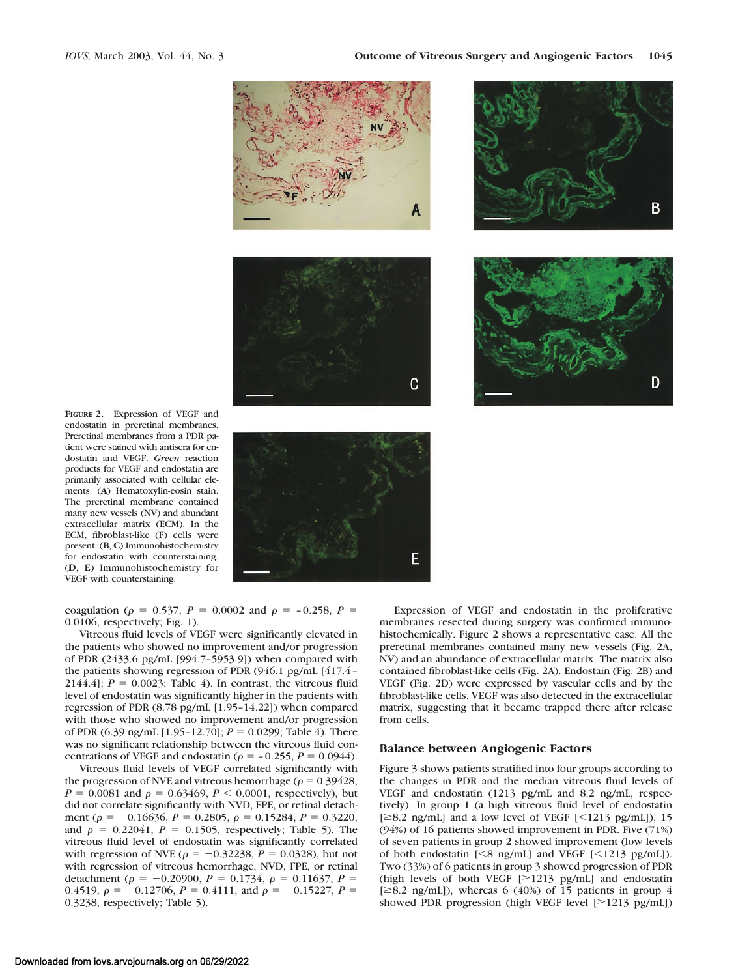





**FIGURE 2.** Expression of VEGF and endostatin in preretinal membranes. Preretinal membranes from a PDR patient were stained with antisera for endostatin and VEGF. *Green* reaction products for VEGF and endostatin are primarily associated with cellular elements. (**A**) Hematoxylin-eosin stain. The preretinal membrane contained many new vessels (NV) and abundant extracellular matrix (ECM). In the ECM, fibroblast-like (F) cells were present. (**B**, **C**) Immunohistochemistry for endostatin with counterstaining. (**D**, **E**) Immunohistochemistry for VEGF with counterstaining.



coagulation ( $\rho = 0.537$ ,  $P = 0.0002$  and  $\rho = -0.258$ ,  $P =$ 0.0106, respectively; Fig. 1).

Vitreous fluid levels of VEGF were significantly elevated in the patients who showed no improvement and/or progression of PDR (2433.6 pg/mL [994.7–5953.9]) when compared with the patients showing regression of PDR (946.1 pg/mL [417.4– 2144.4];  $P = 0.0023$ ; Table 4). In contrast, the vitreous fluid level of endostatin was significantly higher in the patients with regression of PDR (8.78 pg/mL [1.95–14.22]) when compared with those who showed no improvement and/or progression of PDR (6.39 ng/mL [1.95-12.70];  $P = 0.0299$ ; Table 4). There was no significant relationship between the vitreous fluid concentrations of VEGF and endostatin ( $\rho = -0.255$ ,  $P = 0.0944$ ).

Vitreous fluid levels of VEGF correlated significantly with the progression of NVE and vitreous hemorrhage ( $\rho = 0.39428$ ,  $P = 0.0081$  and  $\rho = 0.63469$ ,  $P < 0.0001$ , respectively), but did not correlate significantly with NVD, FPE, or retinal detachment ( $\rho = -0.16636$ ,  $P = 0.2805$ ,  $\rho = 0.15284$ ,  $P = 0.3220$ , and  $\rho = 0.22041$ ,  $P = 0.1505$ , respectively; Table 5). The vitreous fluid level of endostatin was significantly correlated with regression of NVE ( $\rho = -0.32238$ ,  $P = 0.0328$ ), but not with regression of vitreous hemorrhage, NVD, FPE, or retinal detachment ( $\rho = -0.20900$ ,  $P = 0.1734$ ,  $\rho = 0.11637$ ,  $P =$ 0.4519,  $\rho = -0.12706$ ,  $P = 0.4111$ , and  $\rho = -0.15227$ ,  $P =$ 0.3238, respectively; Table 5).

Expression of VEGF and endostatin in the proliferative membranes resected during surgery was confirmed immunohistochemically. Figure 2 shows a representative case. All the preretinal membranes contained many new vessels (Fig. 2A, NV) and an abundance of extracellular matrix. The matrix also contained fibroblast-like cells (Fig. 2A). Endostain (Fig. 2B) and VEGF (Fig. 2D) were expressed by vascular cells and by the fibroblast-like cells. VEGF was also detected in the extracellular matrix, suggesting that it became trapped there after release from cells.

## **Balance between Angiogenic Factors**

Figure 3 shows patients stratified into four groups according to the changes in PDR and the median vitreous fluid levels of VEGF and endostatin (1213 pg/mL and 8.2 ng/mL, respectively). In group 1 (a high vitreous fluid level of endostatin  $[28.2 \text{ ng/mL}]$  and a low level of VEGF  $[<1213 \text{ pg/mL}]$ ), 15 (94%) of 16 patients showed improvement in PDR. Five (71%) of seven patients in group 2 showed improvement (low levels of both endostatin  $[<8 \text{ ng/mL}]$  and VEGF  $[<1213 \text{ pg/mL}]$ . Two (33%) of 6 patients in group 3 showed progression of PDR (high levels of both VEGF  $[\geq 1213 \text{ pg/mL}]$  and endostatin  $[\geq 8.2$  ng/mL]), whereas 6 (40%) of 15 patients in group 4 showed PDR progression (high VEGF level  $[\geq 1213 \text{ pg/mL}]$ )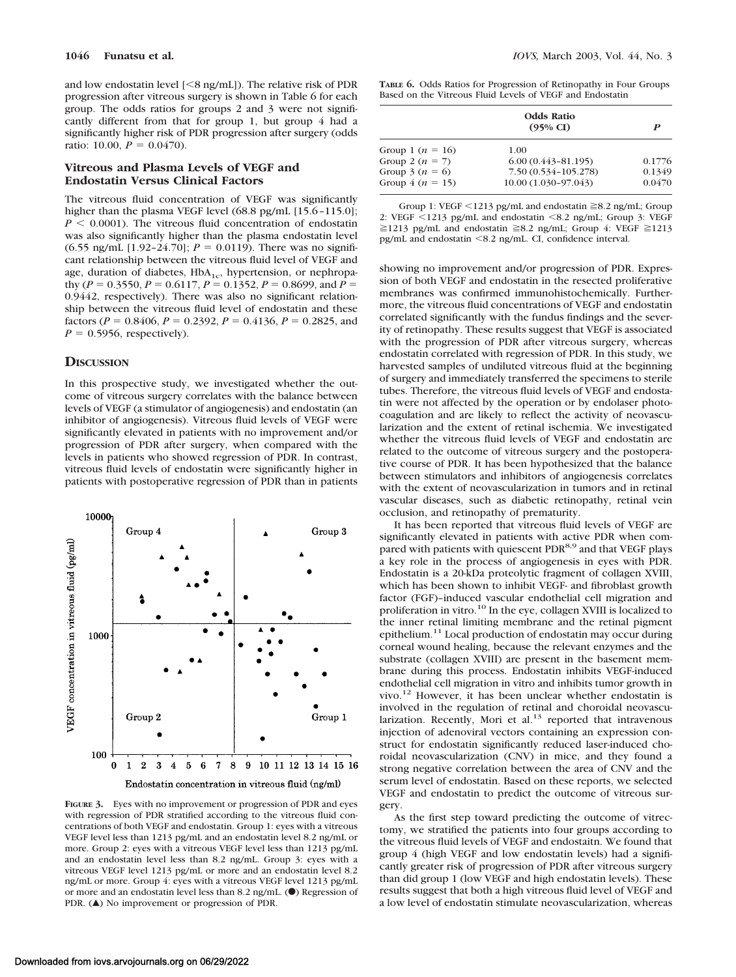and low endostatin level  $\leq$  ng/mL]). The relative risk of PDR progression after vitreous surgery is shown in Table 6 for each group. The odds ratios for groups 2 and 3 were not significantly different from that for group 1, but group 4 had a significantly higher risk of PDR progression after surgery (odds ratio: 10.00,  $P = 0.0470$ ).

# **Vitreous and Plasma Levels of VEGF and Endostatin Versus Clinical Factors**

The vitreous fluid concentration of VEGF was significantly higher than the plasma VEGF level (68.8 pg/mL [15.6-115.0];  $P \leq 0.0001$ ). The vitreous fluid concentration of endostatin was also significantly higher than the plasma endostatin level  $(6.55 \text{ ng/mL } [1.92-24.70]; P = 0.0119)$ . There was no significant relationship between the vitreous fluid level of VEGF and age, duration of diabetes,  $HbA_{1c}$ , hypertension, or nephropathy ( $P = 0.3550$ ,  $P = 0.6117$ ,  $P = 0.1352$ ,  $P = 0.8699$ , and  $P =$ 0.9442, respectively). There was also no significant relationship between the vitreous fluid level of endostatin and these factors ( $P = 0.8406$ ,  $P = 0.2392$ ,  $P = 0.4136$ ,  $P = 0.2825$ , and  $P = 0.5956$ , respectively).

## **DISCUSSION**

In this prospective study, we investigated whether the outcome of vitreous surgery correlates with the balance between levels of VEGF (a stimulator of angiogenesis) and endostatin (an inhibitor of angiogenesis). Vitreous fluid levels of VEGF were significantly elevated in patients with no improvement and/or progression of PDR after surgery, when compared with the levels in patients who showed regression of PDR. In contrast, vitreous fluid levels of endostatin were significantly higher in patients with postoperative regression of PDR than in patients



**FIGURE 3.** Eyes with no improvement or progression of PDR and eyes with regression of PDR stratified according to the vitreous fluid concentrations of both VEGF and endostatin. Group 1: eyes with a vitreous VEGF level less than 1213 pg/mL and an endostatin level 8.2 ng/mL or more. Group 2: eyes with a vitreous VEGF level less than 1213 pg/mL and an endostatin level less than 8.2 ng/mL. Group 3: eyes with a vitreous VEGF level 1213 pg/mL or more and an endostatin level 8.2 ng/mL or more. Group 4: eyes with a vitreous VEGF level 1213 pg/mL or more and an endostatin level less than 8.2 ng/mL. ( $\bullet$ ) Regression of PDR. ( $\triangle$ ) No improvement or progression of PDR.

**TABLE 6.** Odds Ratios for Progression of Retinopathy in Four Groups Based on the Vitreous Fluid Levels of VEGF and Endostatin

|                      | <b>Odds Ratio</b><br>$(95\% \text{ CI})$ | P      |
|----------------------|------------------------------------------|--------|
| Group 1 ( $n = 16$ ) | 1.00                                     |        |
| Group 2 $(n = 7)$    | $6.00(0.443 - 81.195)$                   | 0.1776 |
| Group 3 ( $n = 6$ )  | 7.50 (0.534-105.278)                     | 0.1349 |
| Group $4(n = 15)$    | 10.00 (1.030-97.043)                     | 0.0470 |
|                      |                                          |        |

Group 1: VEGF <1213 pg/mL and endostatin ≧8.2 ng/mL; Group 2: VEGF <1213 pg/mL and endostatin <8.2 ng/mL; Group 3: VEGF  $\geq$ 1213 pg/mL and endostatin  $\geq$ 8.2 ng/mL; Group 4: VEGF  $\geq$ 1213 pg/mL and endostatin 8.2 ng/mL. CI, confidence interval.

showing no improvement and/or progression of PDR. Expression of both VEGF and endostatin in the resected proliferative membranes was confirmed immunohistochemically. Furthermore, the vitreous fluid concentrations of VEGF and endostatin correlated significantly with the fundus findings and the severity of retinopathy. These results suggest that VEGF is associated with the progression of PDR after vitreous surgery, whereas endostatin correlated with regression of PDR. In this study, we harvested samples of undiluted vitreous fluid at the beginning of surgery and immediately transferred the specimens to sterile tubes. Therefore, the vitreous fluid levels of VEGF and endostatin were not affected by the operation or by endolaser photocoagulation and are likely to reflect the activity of neovascularization and the extent of retinal ischemia. We investigated whether the vitreous fluid levels of VEGF and endostatin are related to the outcome of vitreous surgery and the postoperative course of PDR. It has been hypothesized that the balance between stimulators and inhibitors of angiogenesis correlates with the extent of neovascularization in tumors and in retinal vascular diseases, such as diabetic retinopathy, retinal vein occlusion, and retinopathy of prematurity.

It has been reported that vitreous fluid levels of VEGF are significantly elevated in patients with active PDR when compared with patients with quiescent PDR<sup>8,9</sup> and that VEGF plays a key role in the process of angiogenesis in eyes with PDR. Endostatin is a 20-kDa proteolytic fragment of collagen XVIII, which has been shown to inhibit VEGF- and fibroblast growth factor (FGF)–induced vascular endothelial cell migration and proliferation in vitro.<sup>10</sup> In the eye, collagen XVIII is localized to the inner retinal limiting membrane and the retinal pigment epithelium.11 Local production of endostatin may occur during corneal wound healing, because the relevant enzymes and the substrate (collagen XVIII) are present in the basement membrane during this process. Endostatin inhibits VEGF-induced endothelial cell migration in vitro and inhibits tumor growth in vivo.12 However, it has been unclear whether endostatin is involved in the regulation of retinal and choroidal neovascularization. Recently, Mori et al. $13$  reported that intravenous injection of adenoviral vectors containing an expression construct for endostatin significantly reduced laser-induced choroidal neovascularization (CNV) in mice, and they found a strong negative correlation between the area of CNV and the serum level of endostatin. Based on these reports, we selected VEGF and endostatin to predict the outcome of vitreous surgery.

As the first step toward predicting the outcome of vitrectomy, we stratified the patients into four groups according to the vitreous fluid levels of VEGF and endostaitn. We found that group 4 (high VEGF and low endostatin levels) had a significantly greater risk of progression of PDR after vitreous surgery than did group 1 (low VEGF and high endostatin levels). These results suggest that both a high vitreous fluid level of VEGF and a low level of endostatin stimulate neovascularization, whereas